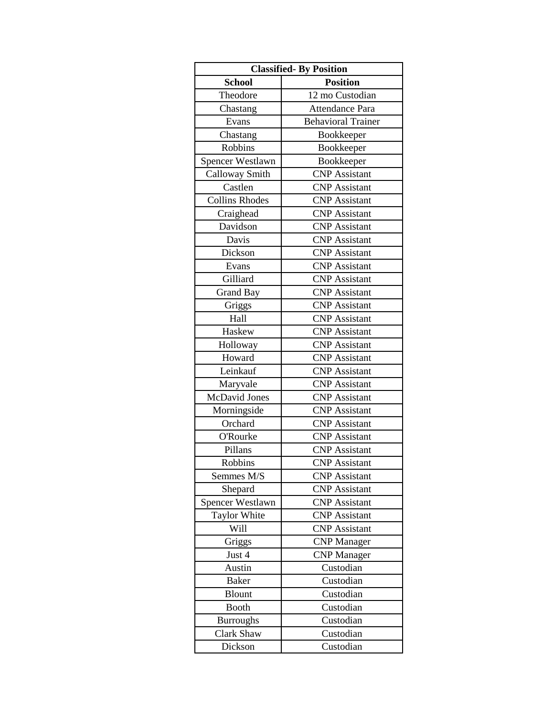| <b>Classified-By Position</b> |                           |
|-------------------------------|---------------------------|
| <b>School</b>                 | <b>Position</b>           |
| Theodore                      | 12 mo Custodian           |
| Chastang                      | Attendance Para           |
| Evans                         | <b>Behavioral Trainer</b> |
| Chastang                      | Bookkeeper                |
| <b>Robbins</b>                | Bookkeeper                |
| Spencer Westlawn              | Bookkeeper                |
| Calloway Smith                | <b>CNP</b> Assistant      |
| Castlen                       | <b>CNP</b> Assistant      |
| <b>Collins Rhodes</b>         | <b>CNP</b> Assistant      |
| Craighead                     | <b>CNP</b> Assistant      |
| Davidson                      | <b>CNP</b> Assistant      |
| Davis                         | <b>CNP</b> Assistant      |
| Dickson                       | <b>CNP</b> Assistant      |
| Evans                         | <b>CNP</b> Assistant      |
| Gilliard                      | <b>CNP</b> Assistant      |
| Grand Bay                     | <b>CNP</b> Assistant      |
| Griggs                        | <b>CNP</b> Assistant      |
| Hall                          | <b>CNP</b> Assistant      |
| Haskew                        | <b>CNP</b> Assistant      |
| Holloway                      | <b>CNP</b> Assistant      |
| Howard                        | <b>CNP</b> Assistant      |
| Leinkauf                      | <b>CNP</b> Assistant      |
| Maryvale                      | <b>CNP</b> Assistant      |
| McDavid Jones                 | <b>CNP</b> Assistant      |
| Morningside                   | <b>CNP</b> Assistant      |
| Orchard                       | <b>CNP</b> Assistant      |
| O'Rourke                      | <b>CNP</b> Assistant      |
| Pillans                       | <b>CNP</b> Assistant      |
| Robbins                       | <b>CNP</b> Assistant      |
| Semmes M/S                    | <b>CNP</b> Assistant      |
| Shepard                       | <b>CNP</b> Assistant      |
| Spencer Westlawn              | <b>CNP</b> Assistant      |
| Taylor White                  | <b>CNP</b> Assistant      |
| Will                          | <b>CNP</b> Assistant      |
| Griggs                        | <b>CNP</b> Manager        |
| Just 4                        | <b>CNP</b> Manager        |
| Austin                        | Custodian                 |
| <b>Baker</b>                  | Custodian                 |
| <b>Blount</b>                 | Custodian                 |
| <b>Booth</b>                  | Custodian                 |
| <b>Burroughs</b>              | Custodian                 |
| <b>Clark Shaw</b>             | Custodian                 |
| Dickson                       | Custodian                 |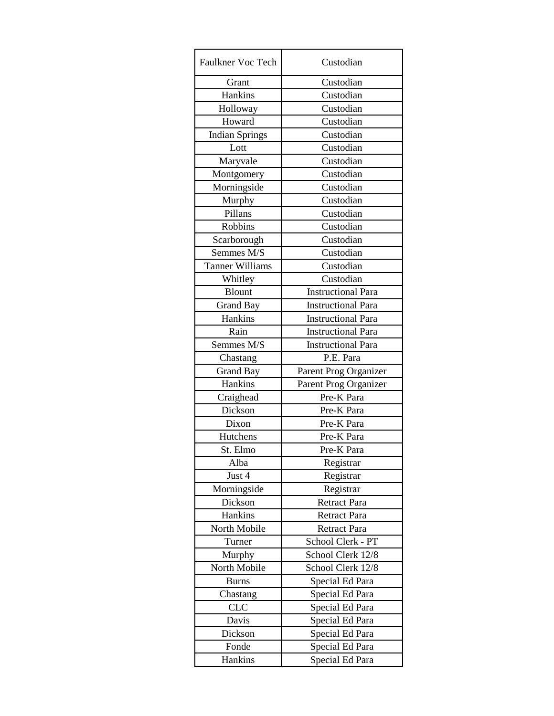| Custodian                 |
|---------------------------|
| Custodian                 |
| Custodian                 |
| Custodian                 |
| Custodian                 |
| Custodian                 |
| Custodian                 |
| Custodian                 |
| Custodian                 |
| Custodian                 |
| Custodian                 |
| Custodian                 |
| Custodian                 |
| Custodian                 |
| Custodian                 |
| Custodian                 |
| Custodian                 |
| <b>Instructional Para</b> |
| <b>Instructional Para</b> |
| <b>Instructional Para</b> |
| <b>Instructional Para</b> |
| <b>Instructional Para</b> |
| P.E. Para                 |
| Parent Prog Organizer     |
| Parent Prog Organizer     |
| Pre-K Para                |
| Pre-K Para                |
| Pre-K Para                |
| Pre-K Para                |
| Pre-K Para                |
| Registrar                 |
| Registrar                 |
| Registrar                 |
| <b>Retract Para</b>       |
| <b>Retract Para</b>       |
| <b>Retract Para</b>       |
| School Clerk - PT         |
| School Clerk 12/8         |
| School Clerk 12/8         |
| Special Ed Para           |
| Special Ed Para           |
| Special Ed Para           |
| Special Ed Para           |
| Special Ed Para           |
| Special Ed Para           |
| Special Ed Para           |
|                           |